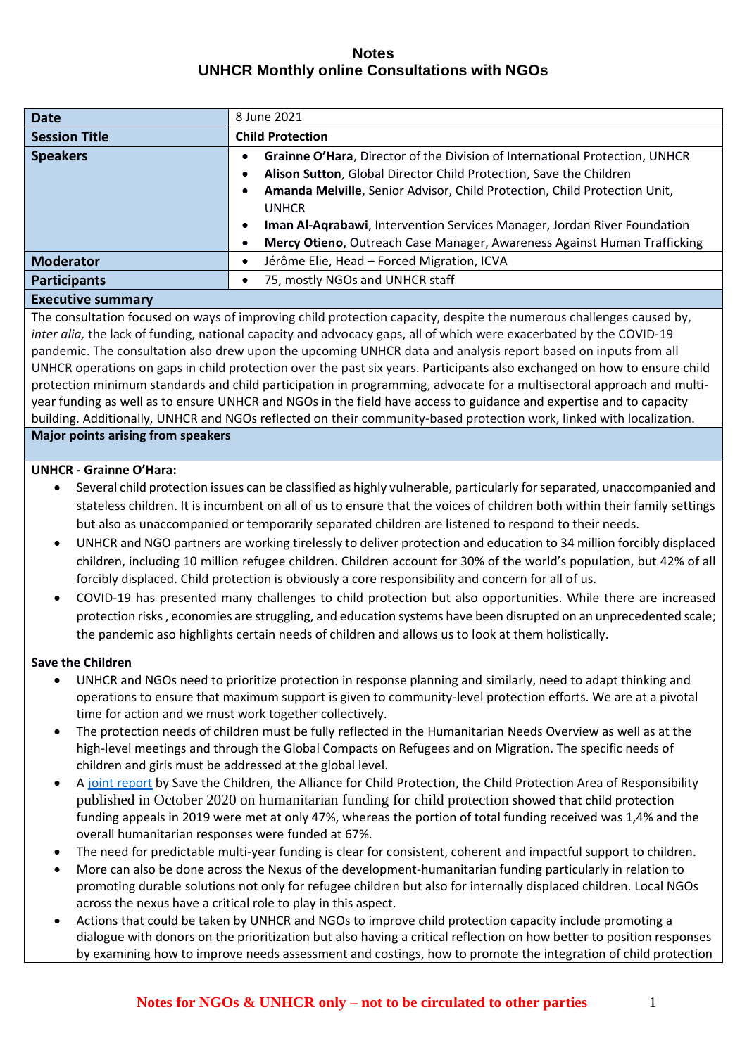| <b>Date</b>                                                                                                                                                                                                                   | 8 June 2021                                                                           |
|-------------------------------------------------------------------------------------------------------------------------------------------------------------------------------------------------------------------------------|---------------------------------------------------------------------------------------|
| <b>Session Title</b>                                                                                                                                                                                                          | <b>Child Protection</b>                                                               |
| <b>Speakers</b>                                                                                                                                                                                                               | Grainne O'Hara, Director of the Division of International Protection, UNHCR           |
|                                                                                                                                                                                                                               | Alison Sutton, Global Director Child Protection, Save the Children                    |
|                                                                                                                                                                                                                               | Amanda Melville, Senior Advisor, Child Protection, Child Protection Unit,             |
|                                                                                                                                                                                                                               | <b>UNHCR</b>                                                                          |
|                                                                                                                                                                                                                               | Iman Al-Agrabawi, Intervention Services Manager, Jordan River Foundation<br>$\bullet$ |
|                                                                                                                                                                                                                               | Mercy Otieno, Outreach Case Manager, Awareness Against Human Trafficking              |
| <b>Moderator</b>                                                                                                                                                                                                              | Jérôme Elie, Head - Forced Migration, ICVA                                            |
| <b>Participants</b>                                                                                                                                                                                                           | 75, mostly NGOs and UNHCR staff                                                       |
| the company of the company of the company of the company of the company of the company of the company of the company of the company of the company of the company of the company of the company of the company of the company |                                                                                       |

# **Executive summary**

The consultation focused on ways of improving child protection capacity, despite the numerous challenges caused by, *inter alia,* the lack of funding, national capacity and advocacy gaps, all of which were exacerbated by the COVID-19 pandemic. The consultation also drew upon the upcoming UNHCR data and analysis report based on inputs from all UNHCR operations on gaps in child protection over the past six years. Participants also exchanged on how to ensure child protection minimum standards and child participation in programming, advocate for a multisectoral approach and multiyear funding as well as to ensure UNHCR and NGOs in the field have access to guidance and expertise and to capacity building. Additionally, UNHCR and NGOs reflected on their community-based protection work, linked with localization.

#### **Major points arising from speakers**

### **UNHCR - Grainne O'Hara:**

- Several child protection issues can be classified as highly vulnerable, particularly for separated, unaccompanied and stateless children. It is incumbent on all of us to ensure that the voices of children both within their family settings but also as unaccompanied or temporarily separated children are listened to respond to their needs.
- UNHCR and NGO partners are working tirelessly to deliver protection and education to 34 million forcibly displaced children, including 10 million refugee children. Children account for 30% of the world's population, but 42% of all forcibly displaced. Child protection is obviously a core responsibility and concern for all of us.
- COVID-19 has presented many challenges to child protection but also opportunities. While there are increased protection risks , economies are struggling, and education systems have been disrupted on an unprecedented scale; the pandemic aso highlights certain needs of children and allows us to look at them holistically.

#### **Save the Children**

- UNHCR and NGOs need to prioritize protection in response planning and similarly, need to adapt thinking and operations to ensure that maximum support is given to community-level protection efforts. We are at a pivotal time for action and we must work together collectively.
- The protection needs of children must be fully reflected in the Humanitarian Needs Overview as well as at the high-level meetings and through the Global Compacts on Refugees and on Migration. The specific needs of children and girls must be addressed at the global level.
- A [joint report](https://resourcecentre.savethechildren.net/node/18352/pdf/stc_still_unprotected_repport_high.pdf) by Save the Children, the Alliance for Child Protection, the Child Protection Area of Responsibility published in October 2020 on humanitarian funding for child protection showed that child protection funding appeals in 2019 were met at only 47%, whereas the portion of total funding received was 1,4% and the overall humanitarian responses were funded at 67%.
- The need for predictable multi-year funding is clear for consistent, coherent and impactful support to children.
- More can also be done across the Nexus of the development-humanitarian funding particularly in relation to promoting durable solutions not only for refugee children but also for internally displaced children. Local NGOs across the nexus have a critical role to play in this aspect.
- Actions that could be taken by UNHCR and NGOs to improve child protection capacity include promoting a dialogue with donors on the prioritization but also having a critical reflection on how better to position responses by examining how to improve needs assessment and costings, how to promote the integration of child protection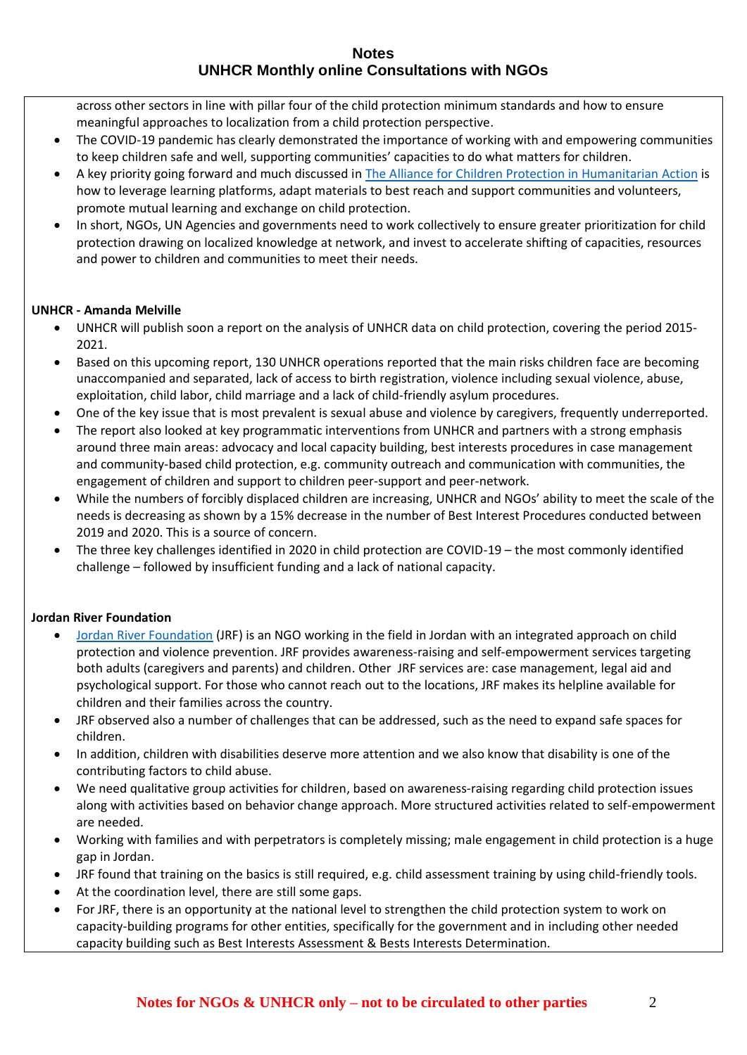across other sectors in line with pillar four of the child protection minimum standards and how to ensure meaningful approaches to localization from a child protection perspective.

- The COVID-19 pandemic has clearly demonstrated the importance of working with and empowering communities to keep children safe and well, supporting communities' capacities to do what matters for children.
- A key priority going forward and much discussed in The [Alliance for Children Protection in](https://alliancecpha.org/en) Humanitarian Action is how to leverage learning platforms, adapt materials to best reach and support communities and volunteers, promote mutual learning and exchange on child protection.
- In short, NGOs, UN Agencies and governments need to work collectively to ensure greater prioritization for child protection drawing on localized knowledge at network, and invest to accelerate shifting of capacities, resources and power to children and communities to meet their needs.

# **UNHCR - Amanda Melville**

- UNHCR will publish soon a report on the analysis of UNHCR data on child protection, covering the period 2015- 2021.
- Based on this upcoming report, 130 UNHCR operations reported that the main risks children face are becoming unaccompanied and separated, lack of access to birth registration, violence including sexual violence, abuse, exploitation, child labor, child marriage and a lack of child-friendly asylum procedures.
- One of the key issue that is most prevalent is sexual abuse and violence by caregivers, frequently underreported.
- The report also looked at key programmatic interventions from UNHCR and partners with a strong emphasis around three main areas: advocacy and local capacity building, best interests procedures in case management and community-based child protection, e.g. community outreach and communication with communities, the engagement of children and support to children peer-support and peer-network.
- While the numbers of forcibly displaced children are increasing, UNHCR and NGOs' ability to meet the scale of the needs is decreasing as shown by a 15% decrease in the number of Best Interest Procedures conducted between 2019 and 2020. This is a source of concern.
- The three key challenges identified in 2020 in child protection are COVID-19 the most commonly identified challenge – followed by insufficient funding and a lack of national capacity.

# **Jordan River Foundation**

- [Jordan River Foundation](https://www.jordanriver.jo/en) (JRF) is an NGO working in the field in Jordan with an integrated approach on child protection and violence prevention. JRF provides awareness-raising and self-empowerment services targeting both adults (caregivers and parents) and children. Other JRF services are: case management, legal aid and psychological support. For those who cannot reach out to the locations, JRF makes its helpline available for children and their families across the country.
- JRF observed also a number of challenges that can be addressed, such as the need to expand safe spaces for children.
- In addition, children with disabilities deserve more attention and we also know that disability is one of the contributing factors to child abuse.
- We need qualitative group activities for children, based on awareness-raising regarding child protection issues along with activities based on behavior change approach. More structured activities related to self-empowerment are needed.
- Working with families and with perpetrators is completely missing; male engagement in child protection is a huge gap in Jordan.
- JRF found that training on the basics is still required, e.g. child assessment training by using child-friendly tools.
- At the coordination level, there are still some gaps.
- For JRF, there is an opportunity at the national level to strengthen the child protection system to work on capacity-building programs for other entities, specifically for the government and in including other needed capacity building such as Best Interests Assessment & Bests Interests Determination.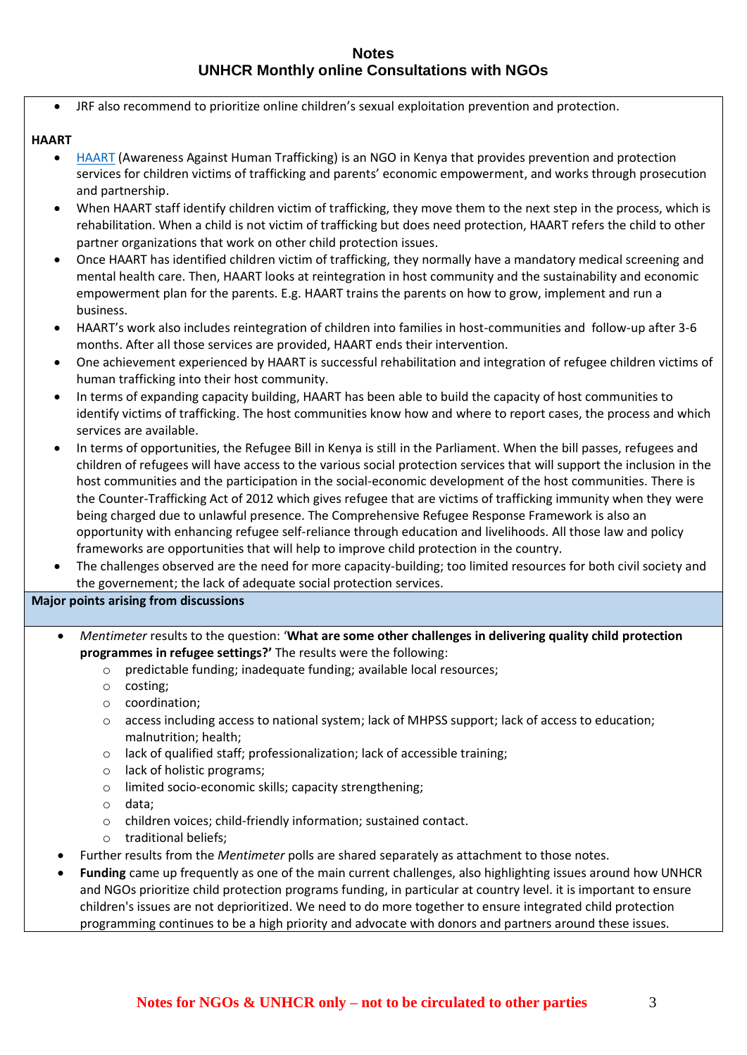• JRF also recommend to prioritize online children's sexual exploitation prevention and protection.

# **HAART**

- [HAART](https://haartkenya.org/) (Awareness Against Human Trafficking) is an NGO in Kenya that provides prevention and protection services for children victims of trafficking and parents' economic empowerment, and works through prosecution and partnership.
- When HAART staff identify children victim of trafficking, they move them to the next step in the process, which is rehabilitation. When a child is not victim of trafficking but does need protection, HAART refers the child to other partner organizations that work on other child protection issues.
- Once HAART has identified children victim of trafficking, they normally have a mandatory medical screening and mental health care. Then, HAART looks at reintegration in host community and the sustainability and economic empowerment plan for the parents. E.g. HAART trains the parents on how to grow, implement and run a business.
- HAART's work also includes reintegration of children into families in host-communities and follow-up after 3-6 months. After all those services are provided, HAART ends their intervention.
- One achievement experienced by HAART is successful rehabilitation and integration of refugee children victims of human trafficking into their host community.
- In terms of expanding capacity building, HAART has been able to build the capacity of host communities to identify victims of trafficking. The host communities know how and where to report cases, the process and which services are available.
- In terms of opportunities, the Refugee Bill in Kenya is still in the Parliament. When the bill passes, refugees and children of refugees will have access to the various social protection services that will support the inclusion in the host communities and the participation in the social-economic development of the host communities. There is the Counter-Trafficking Act of 2012 which gives refugee that are victims of trafficking immunity when they were being charged due to unlawful presence. The Comprehensive Refugee Response Framework is also an opportunity with enhancing refugee self-reliance through education and livelihoods. All those law and policy frameworks are opportunities that will help to improve child protection in the country.
- The challenges observed are the need for more capacity-building; too limited resources for both civil society and the governement; the lack of adequate social protection services.

# **Major points arising from discussions**

- *Mentimeter* results to the question: '**What are some other challenges in delivering quality child protection programmes in refugee settings?'** The results were the following:
	- o predictable funding; inadequate funding; available local resources;
	- o costing;
	- o coordination;
	- o access including access to national system; lack of MHPSS support; lack of access to education; malnutrition; health;
	- o lack of qualified staff; professionalization; lack of accessible training;
	- o lack of holistic programs;
	- o limited socio-economic skills; capacity strengthening;
	- o data;
	- o children voices; child-friendly information; sustained contact.
	- o traditional beliefs;
	- Further results from the *Mentimeter* polls are shared separately as attachment to those notes.
	- **Funding** came up frequently as one of the main current challenges, also highlighting issues around how UNHCR and NGOs prioritize child protection programs funding, in particular at country level. it is important to ensure children's issues are not deprioritized. We need to do more together to ensure integrated child protection programming continues to be a high priority and advocate with donors and partners around these issues.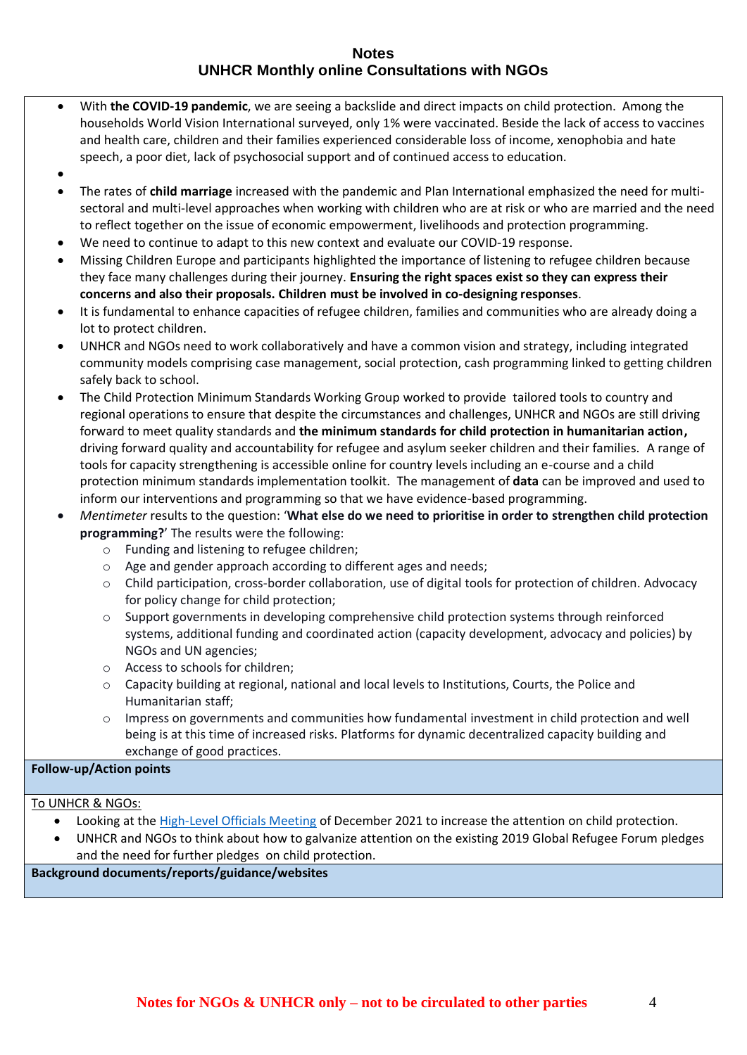- With **the COVID-19 pandemic**, we are seeing a backslide and direct impacts on child protection. Among the households World Vision International surveyed, only 1% were vaccinated. Beside the lack of access to vaccines and health care, children and their families experienced considerable loss of income, xenophobia and hate speech, a poor diet, lack of psychosocial support and of continued access to education.
- •
- The rates of **child marriage** increased with the pandemic and Plan International emphasized the need for multisectoral and multi-level approaches when working with children who are at risk or who are married and the need to reflect together on the issue of economic empowerment, livelihoods and protection programming.
- We need to continue to adapt to this new context and evaluate our COVID-19 response.
- Missing Children Europe and participants highlighted the importance of listening to refugee children because they face many challenges during their journey. **Ensuring the right spaces exist so they can express their concerns and also their proposals. Children must be involved in co-designing responses**.
- It is fundamental to enhance capacities of refugee children, families and communities who are already doing a lot to protect children.
- UNHCR and NGOs need to work collaboratively and have a common vision and strategy, including integrated community models comprising case management, social protection, cash programming linked to getting children safely back to school.
- The Child Protection Minimum Standards Working Group worked to provide tailored tools to country and regional operations to ensure that despite the circumstances and challenges, UNHCR and NGOs are still driving forward to meet quality standards and **the minimum standards for child protection in humanitarian action,**  driving forward quality and accountability for refugee and asylum seeker children and their families. A range of tools for capacity strengthening is accessible online for country levels including an e-course and a child protection minimum standards implementation toolkit. The management of **data** can be improved and used to inform our interventions and programming so that we have evidence-based programming.
- *Mentimeter* results to the question: '**What else do we need to prioritise in order to strengthen child protection programming?**' The results were the following:
	- o Funding and listening to refugee children;
	- o Age and gender approach according to different ages and needs;
	- o Child participation, cross-border collaboration, use of digital tools for protection of children. Advocacy for policy change for child protection;
	- $\circ$  Support governments in developing comprehensive child protection systems through reinforced systems, additional funding and coordinated action (capacity development, advocacy and policies) by NGOs and UN agencies;
	- o Access to schools for children;
	- o Capacity building at regional, national and local levels to Institutions, Courts, the Police and Humanitarian staff;
	- o Impress on governments and communities how fundamental investment in child protection and well being is at this time of increased risks. Platforms for dynamic decentralized capacity building and exchange of good practices.

# **Follow-up/Action points**

# To UNHCR & NGOs:

- Looking at the [High-Level Officials Meeting](https://www.unhcr.org/high-level-officials-meeting.html) of December 2021 to increase the attention on child protection.
- UNHCR and NGOs to think about how to galvanize attention on the existing 2019 Global Refugee Forum pledges and the need for further pledges on child protection.

**Background documents/reports/guidance/websites**